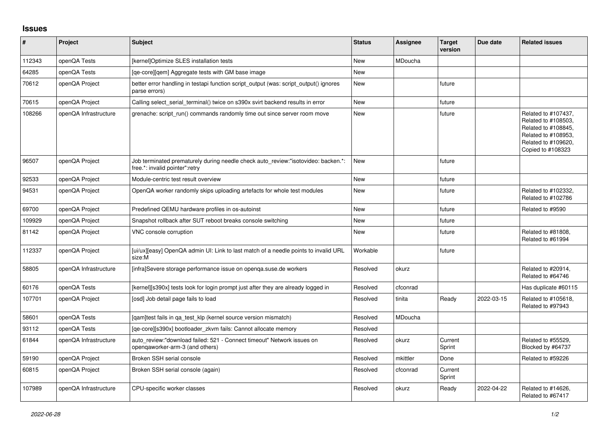## **Issues**

| ∦      | Project               | <b>Subject</b>                                                                                                      | <b>Status</b> | <b>Assignee</b> | <b>Target</b><br>version | Due date   | <b>Related issues</b>                                                                                                                |
|--------|-----------------------|---------------------------------------------------------------------------------------------------------------------|---------------|-----------------|--------------------------|------------|--------------------------------------------------------------------------------------------------------------------------------------|
| 112343 | openQA Tests          | [kernel]Optimize SLES installation tests                                                                            | New           | MDoucha         |                          |            |                                                                                                                                      |
| 64285  | openQA Tests          | [qe-core][qem] Aggregate tests with GM base image                                                                   | New           |                 |                          |            |                                                                                                                                      |
| 70612  | openQA Project        | better error handling in testapi function script output (was: script output() ignores<br>parse errors)              | New           |                 | future                   |            |                                                                                                                                      |
| 70615  | openQA Project        | Calling select serial terminal() twice on s390x svirt backend results in error                                      | New           |                 | future                   |            |                                                                                                                                      |
| 108266 | openQA Infrastructure | grenache: script run() commands randomly time out since server room move                                            | <b>New</b>    |                 | future                   |            | Related to #107437,<br>Related to #108503,<br>Related to #108845,<br>Related to #108953,<br>Related to #109620,<br>Copied to #108323 |
| 96507  | openQA Project        | Job terminated prematurely during needle check auto_review:"isotovideo: backen.*:<br>free.*: invalid pointer":retry | New           |                 | future                   |            |                                                                                                                                      |
| 92533  | openQA Project        | Module-centric test result overview                                                                                 | New           |                 | future                   |            |                                                                                                                                      |
| 94531  | openQA Project        | OpenQA worker randomly skips uploading artefacts for whole test modules                                             | <b>New</b>    |                 | future                   |            | Related to #102332,<br>Related to #102786                                                                                            |
| 69700  | openQA Project        | Predefined QEMU hardware profiles in os-autoinst                                                                    | New           |                 | future                   |            | Related to #9590                                                                                                                     |
| 109929 | openQA Project        | Snapshot rollback after SUT reboot breaks console switching                                                         | New           |                 | future                   |            |                                                                                                                                      |
| 81142  | openQA Project        | VNC console corruption                                                                                              | New           |                 | future                   |            | Related to #81808,<br>Related to #61994                                                                                              |
| 112337 | openQA Project        | [ui/ux][easy] OpenQA admin UI: Link to last match of a needle points to invalid URL<br>size:M                       | Workable      |                 | future                   |            |                                                                                                                                      |
| 58805  | openQA Infrastructure | [infra]Severe storage performance issue on openga.suse.de workers                                                   | Resolved      | okurz           |                          |            | Related to #20914,<br>Related to #64746                                                                                              |
| 60176  | openQA Tests          | [kernel][s390x] tests look for login prompt just after they are already logged in                                   | Resolved      | cfconrad        |                          |            | Has duplicate #60115                                                                                                                 |
| 107701 | openQA Project        | [osd] Job detail page fails to load                                                                                 | Resolved      | tinita          | Ready                    | 2022-03-15 | Related to #105618,<br>Related to #97943                                                                                             |
| 58601  | openQA Tests          | [gam]test fails in ga test klp (kernel source version mismatch)                                                     | Resolved      | MDoucha         |                          |            |                                                                                                                                      |
| 93112  | openQA Tests          | [qe-core][s390x] bootloader_zkvm fails: Cannot allocate memory                                                      | Resolved      |                 |                          |            |                                                                                                                                      |
| 61844  | openQA Infrastructure | auto review:"download failed: 521 - Connect timeout" Network issues on<br>opengaworker-arm-3 (and others)           | Resolved      | okurz           | Current<br>Sprint        |            | Related to #55529,<br>Blocked by #64737                                                                                              |
| 59190  | openQA Project        | Broken SSH serial console                                                                                           | Resolved      | mkittler        | Done                     |            | Related to #59226                                                                                                                    |
| 60815  | openQA Project        | Broken SSH serial console (again)                                                                                   | Resolved      | cfconrad        | Current<br>Sprint        |            |                                                                                                                                      |
| 107989 | openQA Infrastructure | CPU-specific worker classes                                                                                         | Resolved      | okurz           | Ready                    | 2022-04-22 | Related to #14626,<br>Related to #67417                                                                                              |